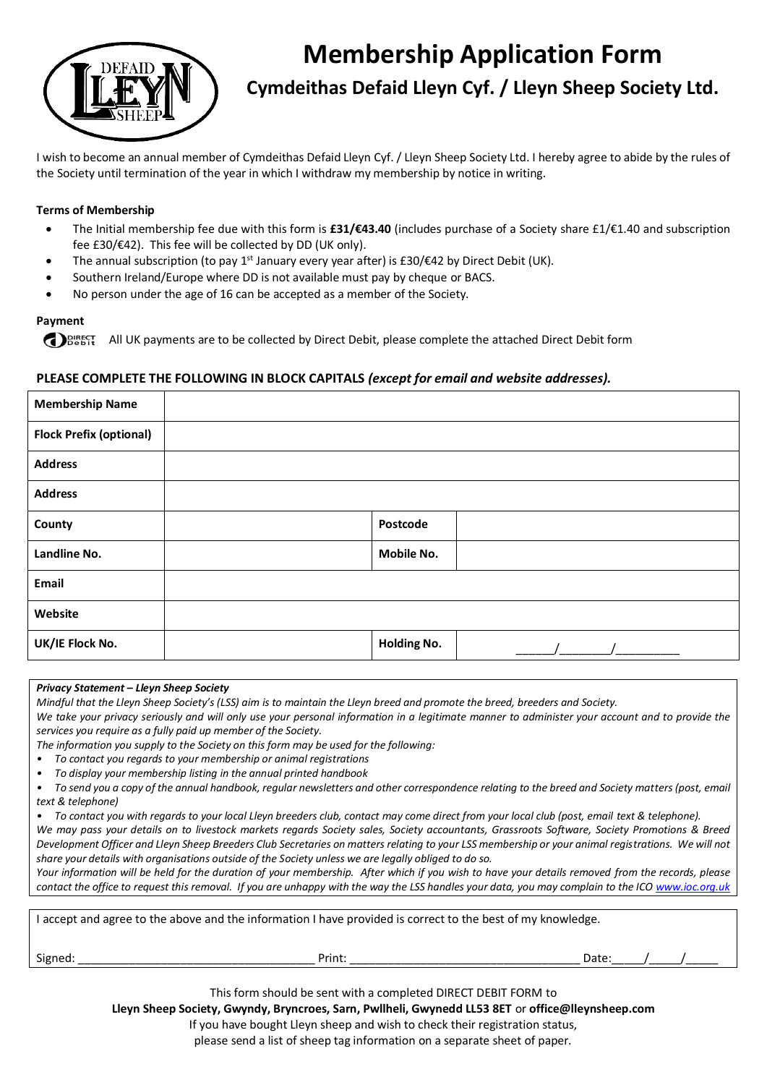

# **Membership Application Form**

**Cymdeithas Defaid Lleyn Cyf. / Lleyn Sheep Society Ltd.**

I wish to become an annual member of Cymdeithas Defaid Lleyn Cyf. / Lleyn Sheep Society Ltd. I hereby agree to abide by the rules of the Society until termination of the year in which I withdraw my membership by notice in writing.

#### **Terms of Membership**

- The Initial membership fee due with this form is **£31/€43.40** (includes purchase of a Society share £1/€1.40 and subscription fee £30/€42). This fee will be collected by DD (UK only).
- The annual subscription (to pay 1<sup>st</sup> January every year after) is £30/€42 by Direct Debit (UK).
- Southern Ireland/Europe where DD is not available must pay by cheque or BACS.
- No person under the age of 16 can be accepted as a member of the Society.

#### **Payment**

**COPING THE COLLECT ALL UCAL DEALLY CONDUCT** DEBIT. All UK payments are to be collected by Direct Debit form and  $\Omega$  be shift form

#### **PLEASE COMPLETE THE FOLLOWING IN BLOCK CAPITALS** *(except for email and website addresses).*

| <b>Membership Name</b>         |                    |  |
|--------------------------------|--------------------|--|
| <b>Flock Prefix (optional)</b> |                    |  |
| <b>Address</b>                 |                    |  |
| <b>Address</b>                 |                    |  |
| County                         | Postcode           |  |
| Landline No.                   | Mobile No.         |  |
| Email                          |                    |  |
| Website                        |                    |  |
| UK/IE Flock No.                | <b>Holding No.</b> |  |

#### *Privacy Statement – Lleyn Sheep Society*

*Mindful that the Lleyn Sheep Society's (LSS) aim is to maintain the Lleyn breed and promote the breed, breeders and Society.*  We take your privacy seriously and will only use your personal information in a legitimate manner to administer your account and to provide the

*services you require as a fully paid up member of the Society.*

- *The information you supply to the Society on this form may be used for the following:*
- *• To contact you regards to your membership or animal registrations*
- *• To display your membership listing in the annual printed handbook*

*• To send you a copy of the annual handbook, regular newsletters and other correspondence relating to the breed and Society matters (post, email text & telephone)*

*• To contact you with regards to your local Lleyn breeders club, contact may come direct from your local club (post, email text & telephone).*

*We may pass your details on to livestock markets regards Society sales, Society accountants, Grassroots Software, Society Promotions & Breed Development Officer and Lleyn Sheep Breeders Club Secretaries on matters relating to your LSS membership or your animal registrations. We will not share your details with organisations outside of the Society unless we are legally obliged to do so.*

*Your information will be held for the duration of your membership. After which if you wish to have your details removed from the records, please contact the office to request this removal. If you are unhappy with the way the LSS handles your data, you may complain to the ICO www.ioc.org.uk*

| I accept and agree to the above and the information I have provided is correct to the best of my knowledge. |        |       |  |  |  |  |  |  |
|-------------------------------------------------------------------------------------------------------------|--------|-------|--|--|--|--|--|--|
| Signed:                                                                                                     | Print: | Date: |  |  |  |  |  |  |

This form should be sent with a completed DIRECT DEBIT FORM to

**Lleyn Sheep Society, Gwyndy, Bryncroes, Sarn, Pwllheli, Gwynedd LL53 8ET** or **office@lleynsheep.com**

If you have bought Lleyn sheep and wish to check their registration status,

please send a list of sheep tag information on a separate sheet of paper.